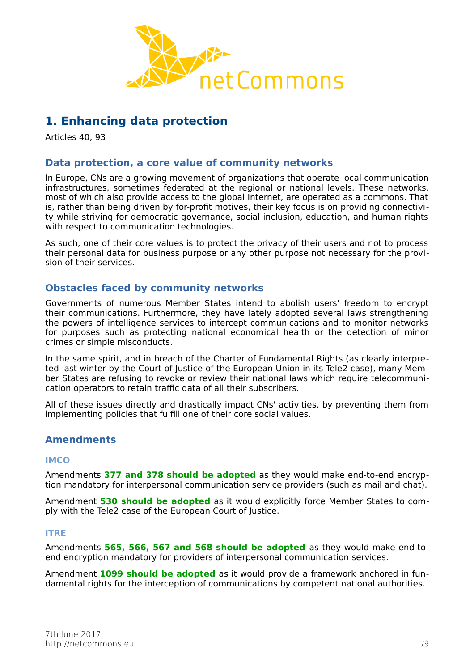

# **1. Enhancing data protection**

Articles 40, 93

# **Data protection, a core value of community networks**

In Europe, CNs are a growing movement of organizations that operate local communication infrastructures, sometimes federated at the regional or national levels. These networks, most of which also provide access to the global Internet, are operated as a commons. That is, rather than being driven by for-profit motives, their key focus is on providing connectivity while striving for democratic governance, social inclusion, education, and human rights with respect to communication technologies.

As such, one of their core values is to protect the privacy of their users and not to process their personal data for business purpose or any other purpose not necessary for the provision of their services.

# **Obstacles faced by community networks**

Governments of numerous Member States intend to abolish users' freedom to encrypt their communications. Furthermore, they have lately adopted several laws strengthening the powers of intelligence services to intercept communications and to monitor networks for purposes such as protecting national economical health or the detection of minor crimes or simple misconducts.

In the same spirit, and in breach of the Charter of Fundamental Rights (as clearly interpreted last winter by the Court of Justice of the European Union in its Tele2 case), many Member States are refusing to revoke or review their national laws which require telecommunication operators to retain traffic data of all their subscribers.

All of these issues directly and drastically impact CNs' activities, by preventing them from implementing policies that fulfill one of their core social values.

# **Amendments**

### **IMCO**

Amendments **377 and 378 should be adopted** as they would make end-to-end encryption mandatory for interpersonal communication service providers (such as mail and chat).

Amendment **530 should be adopted** as it would explicitly force Member States to comply with the Tele2 case of the European Court of Justice.

#### **ITRE**

Amendments **565, 566, 567 and 568 should be adopted** as they would make end-toend encryption mandatory for providers of interpersonal communication services.

Amendment **1099 should be adopted** as it would provide a framework anchored in fundamental rights for the interception of communications by competent national authorities.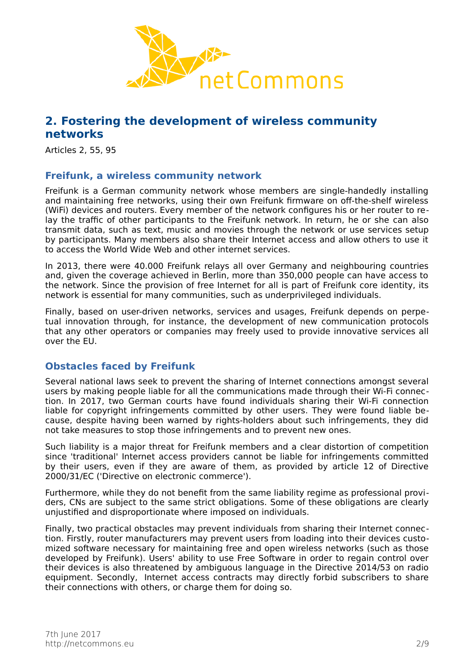

# **2. Fostering the development of wireless community networks**

Articles 2, 55, 95

## **Freifunk, a wireless community network**

Freifunk is a German community network whose members are single-handedly installing and maintaining free networks, using their own Freifunk firmware on off-the-shelf wireless (WiFi) devices and routers. Every member of the network configures his or her router to relay the traffic of other participants to the Freifunk network. In return, he or she can also transmit data, such as text, music and movies through the network or use services setup by participants. Many members also share their Internet access and allow others to use it to access the World Wide Web and other internet services.

In 2013, there were 40.000 Freifunk relays all over Germany and neighbouring countries and, given the coverage achieved in Berlin, more than 350,000 people can have access to the network. Since the provision of free Internet for all is part of Freifunk core identity, its network is essential for many communities, such as underprivileged individuals.

Finally, based on user-driven networks, services and usages, Freifunk depends on perpetual innovation through, for instance, the development of new communication protocols that any other operators or companies may freely used to provide innovative services all over the EU.

# **Obstacles faced by Freifunk**

Several national laws seek to prevent the sharing of Internet connections amongst several users by making people liable for all the communications made through their Wi-Fi connection. In 2017, two German courts have found individuals sharing their Wi-Fi connection liable for copyright infringements committed by other users. They were found liable because, despite having been warned by rights-holders about such infringements, they did not take measures to stop those infringements and to prevent new ones.

Such liability is a major threat for Freifunk members and a clear distortion of competition since 'traditional' Internet access providers cannot be liable for infringements committed by their users, even if they are aware of them, as provided by article 12 of Directive 2000/31/EC ('Directive on electronic commerce').

Furthermore, while they do not benefit from the same liability regime as professional providers, CNs are subject to the same strict obligations. Some of these obligations are clearly unjustified and disproportionate where imposed on individuals.

Finally, two practical obstacles may prevent individuals from sharing their Internet connection. Firstly, router manufacturers may prevent users from loading into their devices customized software necessary for maintaining free and open wireless networks (such as those developed by Freifunk). Users' ability to use Free Software in order to regain control over their devices is also threatened by ambiguous language in the Directive 2014/53 on radio equipment. Secondly, Internet access contracts may directly forbid subscribers to share their connections with others, or charge them for doing so.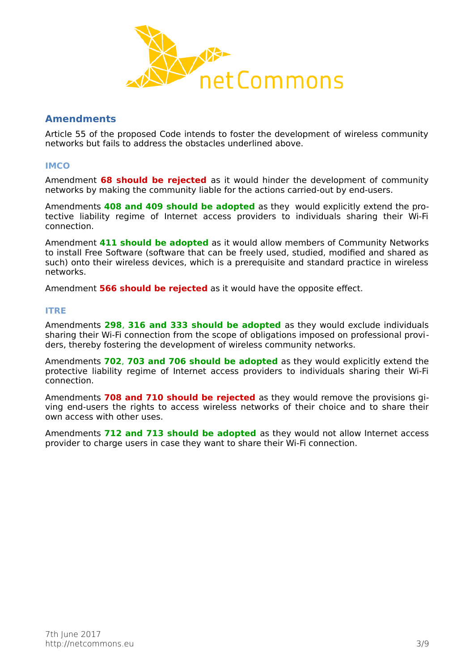

# **Amendments**

Article 55 of the proposed Code intends to foster the development of wireless community networks but fails to address the obstacles underlined above.

### **IMCO**

Amendment **68 should be rejected** as it would hinder the development of community networks by making the community liable for the actions carried-out by end-users.

Amendments **408 and 409 should be adopted** as they would explicitly extend the protective liability regime of Internet access providers to individuals sharing their Wi-Fi connection.

Amendment **411 should be adopted** as it would allow members of Community Networks to install Free Software (software that can be freely used, studied, modified and shared as such) onto their wireless devices, which is a prerequisite and standard practice in wireless networks.

Amendment **566 should be rejected** as it would have the opposite effect.

### **ITRE**

Amendments **298**, **316 and 333 should be adopted** as they would exclude individuals sharing their Wi-Fi connection from the scope of obligations imposed on professional providers, thereby fostering the development of wireless community networks.

Amendments **702**, **703 and 706 should be adopted** as they would explicitly extend the protective liability regime of Internet access providers to individuals sharing their Wi-Fi connection.

Amendments **708 and 710 should be rejected** as they would remove the provisions giving end-users the rights to access wireless networks of their choice and to share their own access with other uses.

Amendments **712 and 713 should be adopted** as they would not allow Internet access provider to charge users in case they want to share their Wi-Fi connection.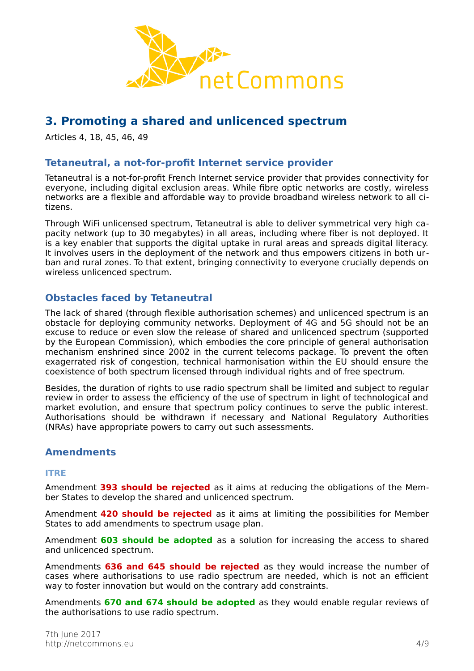

# **3. Promoting a shared and unlicenced spectrum**

Articles 4, 18, 45, 46, 49

# **Tetaneutral, a not-for-profit Internet service provider**

Tetaneutral is a not-for-profit French Internet service provider that provides connectivity for everyone, including digital exclusion areas. While fibre optic networks are costly, wireless networks are a flexible and affordable way to provide broadband wireless network to all citizens.

Through WiFi unlicensed spectrum, Tetaneutral is able to deliver symmetrical very high capacity network (up to 30 megabytes) in all areas, including where fiber is not deployed. It is a key enabler that supports the digital uptake in rural areas and spreads digital literacy. It involves users in the deployment of the network and thus empowers citizens in both urban and rural zones. To that extent, bringing connectivity to everyone crucially depends on wireless unlicenced spectrum.

# **Obstacles faced by Tetaneutral**

The lack of shared (through flexible authorisation schemes) and unlicenced spectrum is an obstacle for deploying community networks. Deployment of 4G and 5G should not be an excuse to reduce or even slow the release of shared and unlicenced spectrum (supported by the European Commission), which embodies the core principle of general authorisation mechanism enshrined since 2002 in the current telecoms package. To prevent the often exagerrated risk of congestion, technical harmonisation within the EU should ensure the coexistence of both spectrum licensed through individual rights and of free spectrum.

Besides, the duration of rights to use radio spectrum shall be limited and subject to regular review in order to assess the efficiency of the use of spectrum in light of technological and market evolution, and ensure that spectrum policy continues to serve the public interest. Authorisations should be withdrawn if necessary and National Regulatory Authorities (NRAs) have appropriate powers to carry out such assessments.

## **Amendments**

#### **ITRE**

Amendment **393 should be rejected** as it aims at reducing the obligations of the Member States to develop the shared and unlicenced spectrum.

Amendment **420 should be rejected** as it aims at limiting the possibilities for Member States to add amendments to spectrum usage plan.

Amendment **603 should be adopted** as a solution for increasing the access to shared and unlicenced spectrum.

Amendments **636 and 645 should be rejected** as they would increase the number of cases where authorisations to use radio spectrum are needed, which is not an efficient way to foster innovation but would on the contrary add constraints.

Amendments **670 and 674 should be adopted** as they would enable regular reviews of the authorisations to use radio spectrum.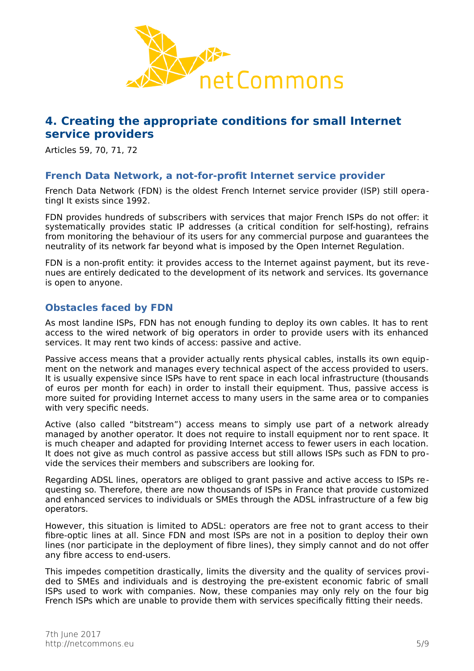

# **4. Creating the appropriate conditions for small Internet service providers**

Articles 59, 70, 71, 72

# **French Data Network, a not-for-profit Internet service provider**

French Data Network (FDN) is the oldest French Internet service provider (ISP) still operatingI It exists since 1992.

FDN provides hundreds of subscribers with services that major French ISPs do not offer: it systematically provides static IP addresses (a critical condition for self-hosting), refrains from monitoring the behaviour of its users for any commercial purpose and guarantees the neutrality of its network far beyond what is imposed by the Open Internet Regulation.

FDN is a non-profit entity: it provides access to the Internet against payment, but its revenues are entirely dedicated to the development of its network and services. Its governance is open to anyone.

# **Obstacles faced by FDN**

As most landine ISPs, FDN has not enough funding to deploy its own cables. It has to rent access to the wired network of big operators in order to provide users with its enhanced services. It may rent two kinds of access: passive and active.

Passive access means that a provider actually rents physical cables, installs its own equipment on the network and manages every technical aspect of the access provided to users. It is usually expensive since ISPs have to rent space in each local infrastructure (thousands of euros per month for each) in order to install their equipment. Thus, passive access is more suited for providing Internet access to many users in the same area or to companies with very specific needs.

Active (also called "bitstream") access means to simply use part of a network already managed by another operator. It does not require to install equipment nor to rent space. It is much cheaper and adapted for providing Internet access to fewer users in each location. It does not give as much control as passive access but still allows ISPs such as FDN to provide the services their members and subscribers are looking for.

Regarding ADSL lines, operators are obliged to grant passive and active access to ISPs requesting so. Therefore, there are now thousands of ISPs in France that provide customized and enhanced services to individuals or SMEs through the ADSL infrastructure of a few big operators.

However, this situation is limited to ADSL: operators are free not to grant access to their fibre-optic lines at all. Since FDN and most ISPs are not in a position to deploy their own lines (nor participate in the deployment of fibre lines), they simply cannot and do not offer any fibre access to end-users.

This impedes competition drastically, limits the diversity and the quality of services provided to SMEs and individuals and is destroying the pre-existent economic fabric of small ISPs used to work with companies. Now, these companies may only rely on the four big French ISPs which are unable to provide them with services specifically fitting their needs.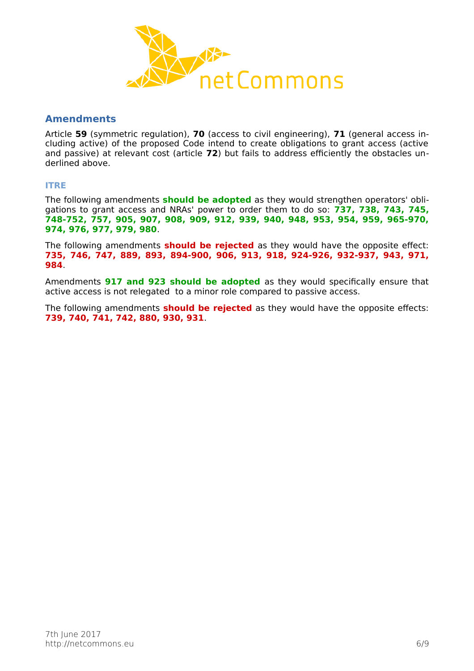

## **Amendments**

Article **59** (symmetric regulation), **70** (access to civil engineering), **71** (general access including active) of the proposed Code intend to create obligations to grant access (active and passive) at relevant cost (article **72**) but fails to address efficiently the obstacles underlined above.

### **ITRE**

The following amendments **should be adopted** as they would strengthen operators' obligations to grant access and NRAs' power to order them to do so: **737, 738, 743, 745, 748-752, 757, 905, 907, 908, 909, 912, 939, 940, 948, 953, 954, 959, 965-970, 974, 976, 977, 979, 980**.

The following amendments **should be rejected** as they would have the opposite effect: **735, 746, 747, 889, 893, 894-900, 906, 913, 918, 924-926, 932-937, 943, 971, 984**.

Amendments **917 and 923 should be adopted** as they would specifically ensure that active access is not relegated to a minor role compared to passive access.

The following amendments **should be rejected** as they would have the opposite effects: **739, 740, 741, 742, 880, 930, 931**.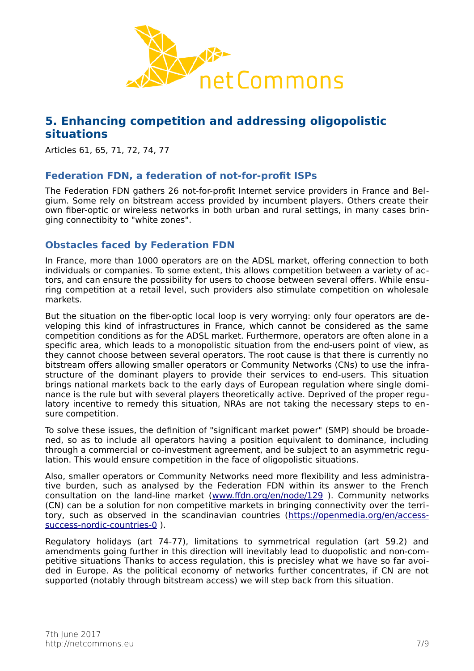

# **5. Enhancing competition and addressing oligopolistic situations**

Articles 61, 65, 71, 72, 74, 77

# **Federation FDN, a federation of not-for-profit ISPs**

The Federation FDN gathers 26 not-for-profit Internet service providers in France and Belgium. Some rely on bitstream access provided by incumbent players. Others create their own fiber-optic or wireless networks in both urban and rural settings, in many cases bringing connectibity to "white zones".

# **Obstacles faced by Federation FDN**

In France, more than 1000 operators are on the ADSL market, offering connection to both individuals or companies. To some extent, this allows competition between a variety of actors, and can ensure the possibility for users to choose between several offers. While ensuring competition at a retail level, such providers also stimulate competition on wholesale markets.

But the situation on the fiber-optic local loop is very worrying: only four operators are developing this kind of infrastructures in France, which cannot be considered as the same competition conditions as for the ADSL market. Furthermore, operators are often alone in a specific area, which leads to a monopolistic situation from the end-users point of view, as they cannot choose between several operators. The root cause is that there is currently no bitstream offers allowing smaller operators or Community Networks (CNs) to use the infrastructure of the dominant players to provide their services to end-users. This situation brings national markets back to the early days of European regulation where single dominance is the rule but with several players theoretically active. Deprived of the proper regulatory incentive to remedy this situation, NRAs are not taking the necessary steps to ensure competition.

To solve these issues, the definition of "significant market power" (SMP) should be broadened, so as to include all operators having a position equivalent to dominance, including through a commercial or co-investment agreement, and be subject to an asymmetric regulation. This would ensure competition in the face of oligopolistic situations.

Also, smaller operators or Community Networks need more flexibility and less administrative burden, such as analysed by the Federation FDN within its answer to the French consultation on the land-line market [\(www.ffdn.org/en/node/129](http://www.ffdn.org/en/node/129) ). Community networks (CN) can be a solution for non competitive markets in bringing connectivity over the territory, such as observed in the scandinavian countries [\(https://openmedia.org/en/access](https://openmedia.org/en/access-success-nordic-countries-0)[success-nordic-countries-0](https://openmedia.org/en/access-success-nordic-countries-0) ).

Regulatory holidays (art 74-77), limitations to symmetrical regulation (art 59.2) and amendments going further in this direction will inevitably lead to duopolistic and non-competitive situations Thanks to access regulation, this is precisley what we have so far avoided in Europe. As the political economy of networks further concentrates, if CN are not supported (notably through bitstream access) we will step back from this situation.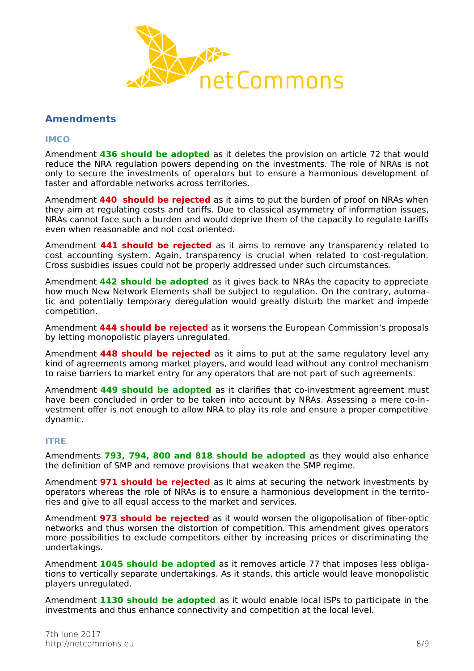

# **Amendments**

#### **IMCO**

Amendment **436 should be adopted** as it deletes the provision on article 72 that would reduce the NRA regulation powers depending on the investments. The role of NRAs is not only to secure the investments of operators but to ensure a harmonious development of faster and affordable networks across territories.

Amendment **440 should be rejected** as it aims to put the burden of proof on NRAs when they aim at regulating costs and tariffs. Due to classical asymmetry of information issues, NRAs cannot face such a burden and would deprive them of the capacity to regulate tariffs even when reasonable and not cost oriented.

Amendment **441 should be rejected** as it aims to remove any transparency related to cost accounting system. Again, transparency is crucial when related to cost-regulation. Cross susbidies issues could not be properly addressed under such circumstances.

Amendment **442 should be adopted** as it gives back to NRAs the capacity to appreciate how much New Network Elements shall be subject to regulation. On the contrary, automatic and potentially temporary deregulation would greatly disturb the market and impede competition.

Amendment **444 should be rejected** as it worsens the European Commission's proposals by letting monopolistic players unregulated.

Amendment **448 should be rejected** as it aims to put at the same regulatory level any kind of agreements among market players, and would lead without any control mechanism to raise barriers to market entry for any operators that are not part of such agreements.

Amendment **449 should be adopted** as it clarifies that co-investment agreement must have been concluded in order to be taken into account by NRAs. Assessing a mere co-investment offer is not enough to allow NRA to play its role and ensure a proper competitive dynamic.

#### **ITRE**

Amendments **793, 794, 800 and 818 should be adopted** as they would also enhance the definition of SMP and remove provisions that weaken the SMP regime.

Amendment **971 should be rejected** as it aims at securing the network investments by operators whereas the role of NRAs is to ensure a harmonious development in the territories and give to all equal access to the market and services.

Amendment **973 should be rejected** as it would worsen the oligopolisation of fiber-optic networks and thus worsen the distortion of competition. This amendment gives operators more possibilities to exclude competitors either by increasing prices or discriminating the undertakings.

Amendment **1045 should be adopted** as it removes article 77 that imposes less obligations to vertically separate undertakings. As it stands, this article would leave monopolistic players unregulated.

Amendment **1130 should be adopted** as it would enable local ISPs to participate in the investments and thus enhance connectivity and competition at the local level.